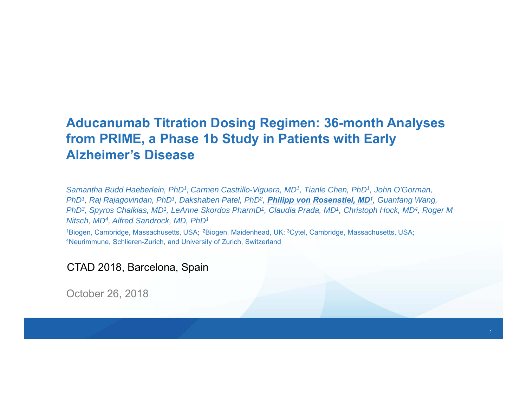#### **Aducanumab Titration Dosing Regimen: 36-month Analyses from PRIME, a Phase 1b Study in Patients with Early Alzheimer's Disease**

*Samantha Budd Haeberlein, PhD1, Carmen Castrillo-Viguera, MD1, Tianle Chen, PhD1, John O'Gorman, PhD1, Raj Rajagovindan, PhD1, Dakshaben Patel, PhD2, Philipp von Rosenstiel, MD1, Guanfang Wang, PhD3, Spyros Chalkias, MD1, LeAnne Skordos PharmD1, Claudia Prada, MD1, Christoph Hock, MD4, Roger M Nitsch, MD4, Alfred Sandrock, MD, PhD1*

1Biogen, Cambridge, Massachusetts, USA; 2Biogen, Maidenhead, UK; 3Cytel, Cambridge, Massachusetts, USA; 4Neurimmune, Schlieren-Zurich, and University of Zurich, Switzerland

CTAD 2018, Barcelona, Spain

October 26, 2018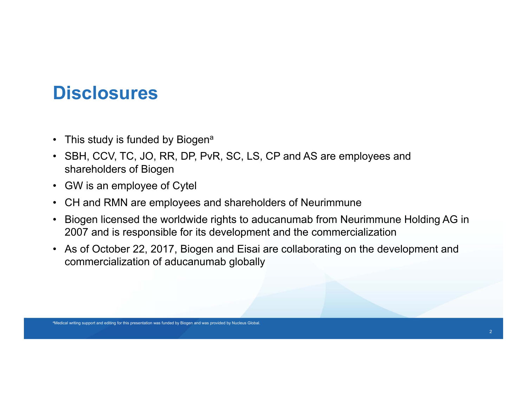#### **Disclosures**

- This study is funded by Biogen $^{\mathsf{a}}$
- SBH, CCV, TC, JO, RR, DP, PvR, SC, LS, CP and AS are employees and shareholders of Biogen
- GW is an employee of Cytel
- CH and RMN are employees and shareholders of Neurimmune
- $\bullet$  Biogen licensed the worldwide rights to aducanumab from Neurimmune Holding AG in 2007 and is responsible for its development and the commercialization
- As of October 22, 2017, Biogen and Eisai are collaborating on the development and commercialization of aducanumab globally

aMedical writing support and editing for this presentation was funded by Biogen and was provided by Nucleus Global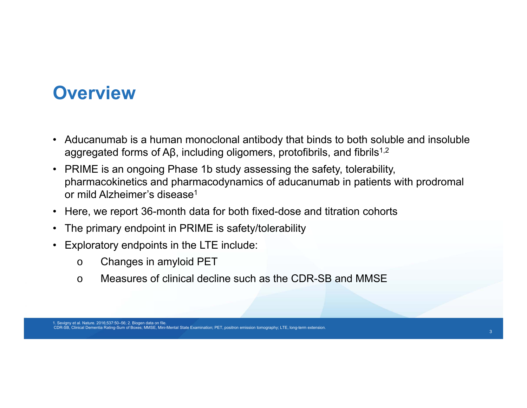#### **Overview**

- Aducanumab is a human monoclonal antibody that binds to both soluble and insoluble aggregated forms of Aβ, including oligomers, protofibrils, and fibrils<sup>1,2</sup>
- PRIME is an ongoing Phase 1b study assessing the safety, tolerability, pharmacokinetics and pharmacodynamics of aducanumab in patients with prodromal or mild Alzheimer's disease1
- Here, we report 36-month data for both fixed-dose and titration cohorts
- The primary endpoint in PRIME is safety/tolerability
- Exploratory endpoints in the LTE include:
	- oChanges in amyloid PET
	- oMeasures of clinical decline such as the CDR-SB and MMSE

1. Sevigny et al. Nature. 2016;537:50–56; 2. Biogen data on file. CDR-SB, Clinical Dementia Rating-Sum of Boxes; MMSE, Mini-Mental State Examination; PET, positron emission tomography; LTE, long-term extension.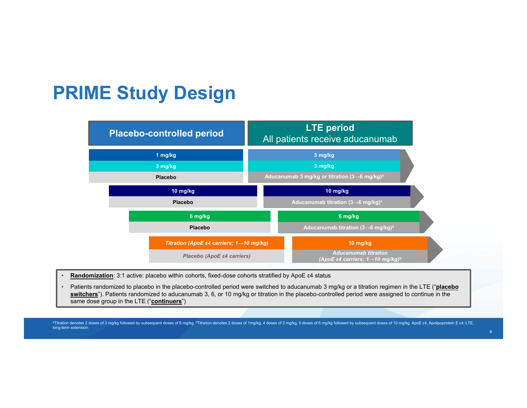#### **PRIME Study Design**

| <b>Placebo-controlled period</b>                                    | <b>LTE</b> period<br>All patients receive aducanumab                                     |  |  |
|---------------------------------------------------------------------|------------------------------------------------------------------------------------------|--|--|
| 1 mg/kg                                                             | 3 mg/kg                                                                                  |  |  |
| 3 mg/kg                                                             | 3 mg/kg                                                                                  |  |  |
| <b>Placebo</b>                                                      | Aducanumab 3 mg/kg or titration $(3\rightarrow 6 \text{ mg/kg})^a$                       |  |  |
| 10 mg/kg                                                            | 10 mg/kg                                                                                 |  |  |
| <b>Placebo</b>                                                      | Aducanumab titration $(3\rightarrow 6 \text{ mg/kg})^a$                                  |  |  |
| 6 mg/kg                                                             | 6 mg/kg                                                                                  |  |  |
| <b>Placebo</b>                                                      | Aducanumab titration $(3\rightarrow 6 \text{ mg/kg})^a$                                  |  |  |
| Titration (ApoE $\varepsilon$ 4 carriers; 1 $\rightarrow$ 10 mg/kg) | $10$ mg/kg                                                                               |  |  |
| Placebo (ApoE ε4 carriers)                                          | <b>Aducanumab titration</b><br>(ApoE ε4 carriers; 1 $\rightarrow$ 10 mg/kg) <sup>b</sup> |  |  |

- •**Randomization**: 3:1 active: placebo within cohorts, fixed-dose cohorts stratified by ApoE ε4 status
- • Patients randomized to placebo in the placebo-controlled period were switched to aducanumab 3 mg/kg or a titration regimen in the LTE ("**placebo**  switchers<sup>"</sup>). Patients randomized to aducanumab 3, 6, or 10 mg/kg or titration in the placebo-controlled period were assigned to continue in the same dose group in the LTE ("**continuers**")

aTitration denotes 2 doses of 3 mg/kg followed by subsequent doses of 6 mg/kg. bTitration denotes 2 doses of 1mg/kg, 4 doses of 3 mg/kg, 5 doses of 6 mg/kg followed by subsequent doses of 10 mg/kg. ApoE ε4, Apolipoprotein long-term extension.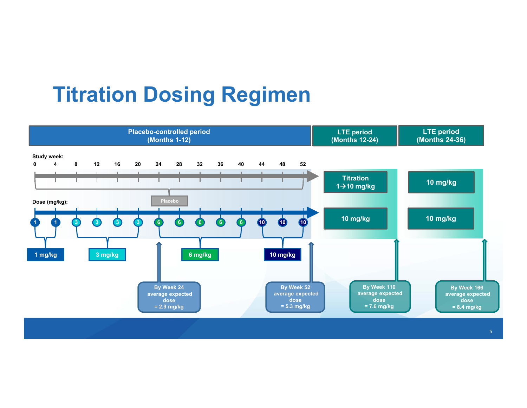# **Titration Dosing Regimen**

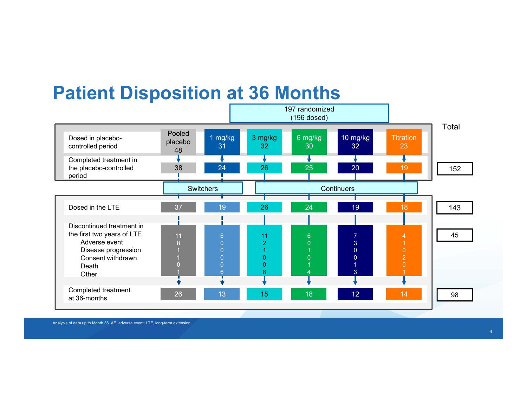#### **Patient Disposition at 36 Months**



Analysis of data up to Month 36. AE, adverse event; LTE, long-term extension.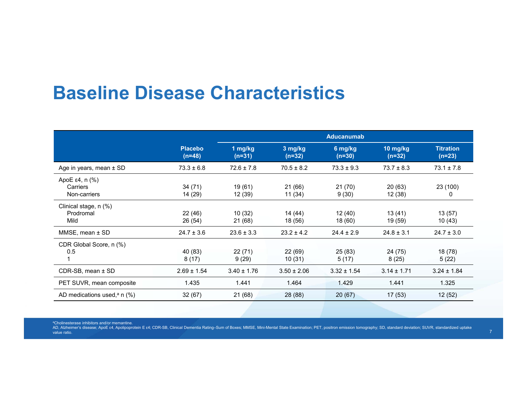#### **Baseline Disease Characteristics**

|                                               |                            | <b>Aducanumab</b>   |                     |                     |                      |                              |
|-----------------------------------------------|----------------------------|---------------------|---------------------|---------------------|----------------------|------------------------------|
|                                               | <b>Placebo</b><br>$(n=48)$ | 1 mg/kg<br>$(n=31)$ | 3 mg/kg<br>$(n=32)$ | 6 mg/kg<br>$(n=30)$ | 10 mg/kg<br>$(n=32)$ | <b>Titration</b><br>$(n=23)$ |
| Age in years, mean $\pm$ SD                   | $73.3 \pm 6.8$             | $72.6 \pm 7.8$      | $70.5 \pm 8.2$      | $73.3 \pm 9.3$      | $73.7 \pm 8.3$       | $73.1 \pm 7.8$               |
| ApoE ε4, n $(\%)$<br>Carriers<br>Non-carriers | 34 (71)<br>14 (29)         | 19 (61)<br>12 (39)  | 21 (66)<br>11 (34)  | 21(70)<br>9(30)     | 20(63)<br>12 (38)    | 23 (100)<br>0                |
| Clinical stage, n (%)<br>Prodromal<br>Mild    | 22 (46)<br>26 (54)         | 10(32)<br>21 (68)   | 14 (44)<br>18 (56)  | 12 (40)<br>18 (60)  | 13(41)<br>19 (59)    | 13(57)<br>10(43)             |
| $MMSE$ , mean $\pm$ SD                        | $24.7 \pm 3.6$             | $23.6 \pm 3.3$      | $23.2 \pm 4.2$      | $24.4 \pm 2.9$      | $24.8 \pm 3.1$       | $24.7 \pm 3.0$               |
| CDR Global Score, n (%)<br>0.5                | 40 (83)<br>8(17)           | 22(71)<br>9(29)     | 22(69)<br>10(31)    | 25 (83)<br>5(17)    | 24 (75)<br>8(25)     | 18 (78)<br>5(22)             |
| CDR-SB, mean ± SD                             | $2.69 \pm 1.54$            | $3.40 \pm 1.76$     | $3.50 \pm 2.06$     | $3.32 \pm 1.54$     | $3.14 \pm 1.71$      | $3.24 \pm 1.84$              |
| PET SUVR, mean composite                      | 1.435                      | 1.441               | 1.464               | 1.429               | 1.441                | 1.325                        |
| AD medications used, <sup>a</sup> n $(\%)$    | 32(67)                     | 21(68)              | 28 (88)             | 20(67)              | 17(53)               | 12(52)                       |

aCholinesterase inhibitors and/or memantine.

AD, Alzheimer's disease; ApoE ε4, Apolipoprotein E ε4; CDR-SB, Clinical Dementia Rating–Sum of Boxes; MMSE, Mini-Mental State Examination; PET, positron emission tomography; SD, standard deviation; SUVR, standardized upta value ratio.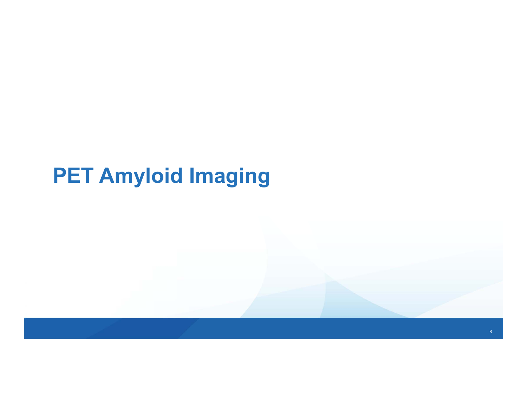# **PET Amyloid Imaging**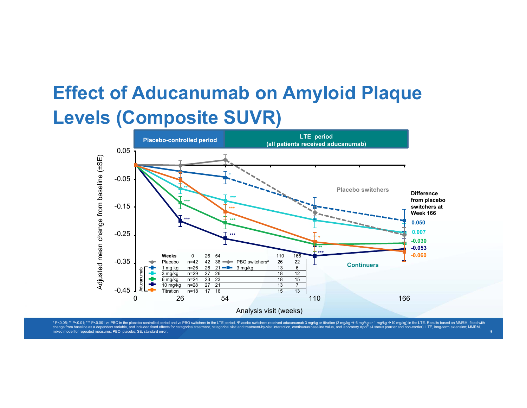## **Effect of Aducanumab on Amyloid Plaque Levels (Composite SUVR)**



\* P<0.05; \*\* P<0.01; \*\*\* P<0.01 vs PBO in the placebo-controlled period and vs PBO switchers in the LTE period. \*Placebo switchers received aducanumab 3 mg/kg or titration (3 mg/kg  $\rightarrow$  6 mg/kg  $\rightarrow$  1 mg/kg  $\rightarrow$  10 mg/kg) change from baseline as a dependent variable, and included fixed effects for categorical treatment, categorical visit and treatment-by-visit interaction, cor mixed model for repeated measures; PBO, placebo; SE, standard error.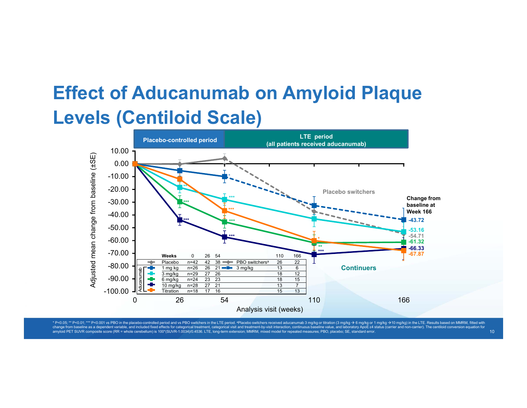## **Effect of Aducanumab on Amyloid Plaque Levels (Centiloid Scale)**



\* P<0.05; \*\* P<0.01; \*\*\* P<0.001 vs PBO in the placebo-controlled period and vs PBO switchers in the LTE period. \*Placebo switchers received aducanumab 3 mg/kg or titration (3 mg/kg > 6 mg/kg > 1 mg/kg > 10 mg/kg > 10 mg/k change from baseline as a dependent variable, and included fixed effects for categorical treatment, categorical visit and treatment-by-visit interaction, continuous baseline value, and laboratory ApoE e4 status (carrier an amyloid PET SUVR composite score (RR = whole cerebellum) is 100\*(SUVR-1.0034)/0.4536. LTE, long-term extension; MMRM, mixed model for repeated measures; PBO, placebo; SE, standard error.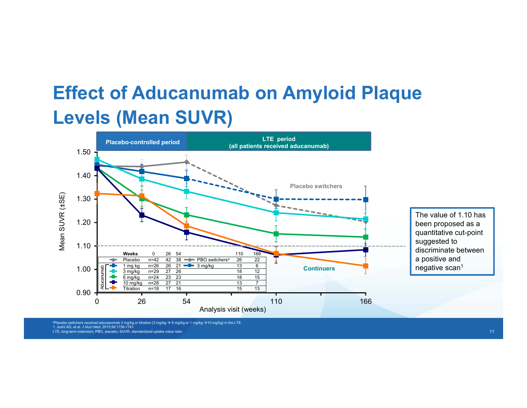## **Effect of Aducanumab on Amyloid Plaque Levels (Mean SUVR)**



ªPlacebo switchers received aducanumab 3 mg/kg or titration (3 mg/kg → 6 mg/kg or 1 mg/kg →10 mg/kg) in the LTE.<br>1. Joshi AD, et al. *J Nucl Med.* 2015;56:1736-1741. LTE, long-term extension; PBO, placebo; SUVR, standardized uptake value ratio.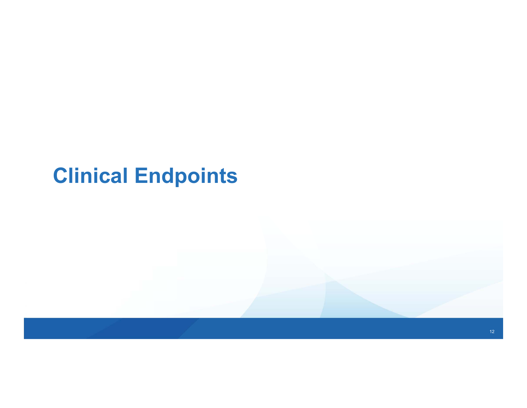# **Clinical Endpoints**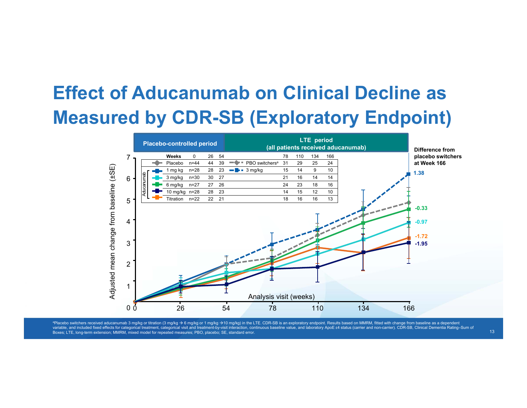## **Effect of Aducanumab on Clinical Decline as Measured by CDR-SB (Exploratory Endpoint)**



ªPlacebo switchers received aducanumab 3 mg/kg or titration (3 mg/kg → 6 mg/kg → 10 mg/kg) in the LTE. CDR-SB is an exploratory endpoint. Results based on MMRM, fitted with change from baseline as a dependent variable, and included fixed effects for categorical treatment, categorical visit and treatment-by-visit interaction, continuous baseline value, and laboratory ApoE £4 status (carrier and non-carrier). CDR-SB, Clinical Dem Boxes; LTE, long-term extension; MMRM, mixed model for repeated measures; PBO, placebo; SE, standard error.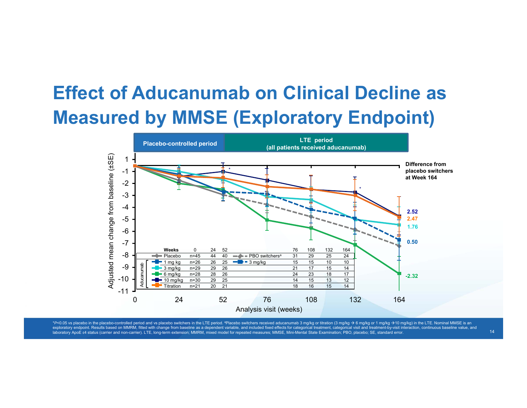## **Effect of Aducanumab on Clinical Decline as Measured by MMSE (Exploratory Endpoint)**



\*P<0.05 vs placebo in the placebo-controlled period and vs placebo switchers in the LTE period. ªPlacebo switchers received aducanumab 3 mg/kg or titration (3 mg/kg → 6 mg/kg → 6 mg/kg → 10 mg/kg) in the LTE. Nominal MMSE exploratory endpoint. Results based on MMRM, fitted with change from baseline as a dependent variable, and included fixed effects for categorical treatment, categorical visit and treatment-by-visit interaction, continuous laboratory ApoE ε4 status (carrier and non-carrier). LTE, long-term extension; MMRM, mixed model for repeated measures; MMSE, Mini-Mental State Examination; PBO, placebo; SE, standard error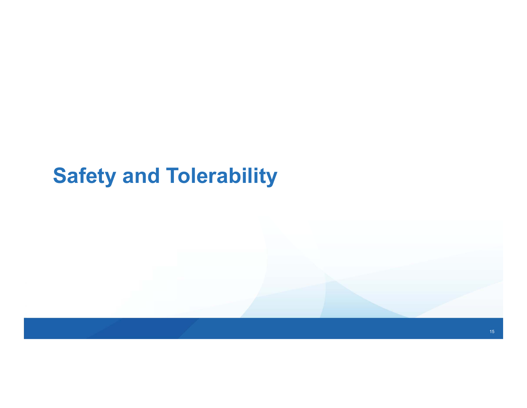# **Safety and Tolerability**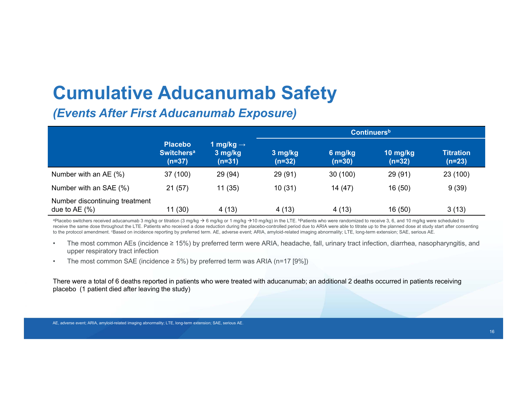## **Cumulative Aducanumab Safety**

#### *(Events After First Aducanumab Exposure)*

|                                                  |                                                            | <b>Continuers</b> <sup>b</sup>               |                     |                     |                        |                              |
|--------------------------------------------------|------------------------------------------------------------|----------------------------------------------|---------------------|---------------------|------------------------|------------------------------|
|                                                  | <b>Placebo</b><br><b>Switchers<sup>a</sup></b><br>$(n=37)$ | 1 mg/kg $\rightarrow$<br>3 mg/kg<br>$(n=31)$ | 3 mg/kg<br>$(n=32)$ | 6 mg/kg<br>$(n=30)$ | 10 $mg/kg$<br>$(n=32)$ | <b>Titration</b><br>$(n=23)$ |
| Number with an $AE(%)$                           | 37 (100)                                                   | 29 (94)                                      | 29 (91)             | 30(100)             | 29 (91)                | 23 (100)                     |
| Number with an SAE (%)                           | 21(57)                                                     | 11(35)                                       | 10(31)              | 14 (47)             | 16(50)                 | 9(39)                        |
| Number discontinuing treatment<br>due to $AE(%)$ | 11 (30)                                                    | 4(13)                                        | 4(13)               | 4(13)               | 16(50)                 | 3(13)                        |

ªPlacebo switchers received aducanumab 3 mg/kg or titration (3 mg/kg → 6 mg/kg or 1 mg/kg →10 mg/kg) in the LTE. <sup>b</sup>Patients who were randomized to receive 3, 6, and 10 mg/kg were scheduled to receive the same dose throughout the LTE. Patients who received a dose reduction during the placebo-controlled period due to ARIA were able to titrate up to the planned dose at study start after consenting to the protocol amendment. "Based on incidence reporting by preferred term. AE, adverse event; ARIA, amyloid-related imaging abnormality; LTE, long-term extension; SAE, serious AE.

- • The most common AEs (incidence ≥ 15%) by preferred term were ARIA, headache, fall, urinary tract infection, diarrhea, nasopharyngitis, and upper respiratory tract infection
- •The most common SAE (incidence  $\geq$  5%) by preferred term was ARIA (n=17 [9%])

There were a total of 6 deaths reported in patients who were treated with aducanumab; an additional 2 deaths occurred in patients receiving placebo (1 patient died after leaving the study)

AE, adverse event; ARIA, amyloid-related imaging abnormality; LTE, long-term extension; SAE, serious AE.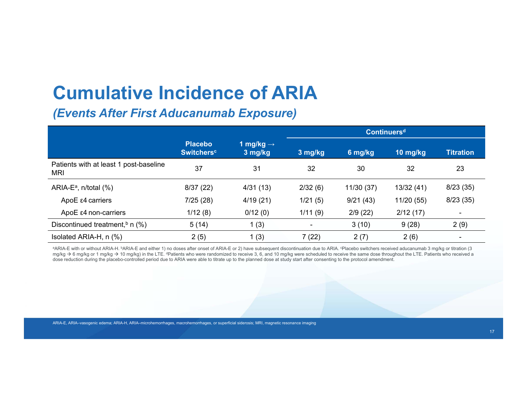## **Cumulative Incidence of ARIA**

#### *(Events After First Aducanumab Exposure)*

|                                               |                                                |                                  | Continuers <sup>d</sup> |            |            |                          |
|-----------------------------------------------|------------------------------------------------|----------------------------------|-------------------------|------------|------------|--------------------------|
|                                               | <b>Placebo</b><br><b>Switchers<sup>c</sup></b> | 1 mg/kg $\rightarrow$<br>3 mg/kg | 3 mg/kg                 | 6 mg/kg    | 10 mg/kg   | <b>Titration</b>         |
| Patients with at least 1 post-baseline<br>MRI | 37                                             | 31                               | 32                      | 30         | 32         | 23                       |
| ARIA-E <sup>a</sup> , n/total $(\%)$          | 8/37(22)                                       | 4/31(13)                         | 2/32(6)                 | 11/30 (37) | 13/32(41)  | 8/23(35)                 |
| ApoE ε4 carriers                              | 7/25(28)                                       | 4/19(21)                         | 1/21(5)                 | 9/21(43)   | 11/20 (55) | 8/23(35)                 |
| ApoE ε4 non-carriers                          | 1/12(8)                                        | 0/12(0)                          | 1/11(9)                 | 2/9(22)    | 2/12(17)   | $\overline{\phantom{a}}$ |
| Discontinued treatment, $\flat$ n (%)         | 5(14)                                          | 1(3)                             | -                       | 3(10)      | 9(28)      | 2(9)                     |
| Isolated ARIA-H, n (%)                        | 2(5)                                           | 1(3)                             | 7 (22)                  | 2(7)       | 2(6)       | $\overline{\phantom{a}}$ |

aARIA-E with or without ARIA-H. bARIA-E and either 1) no doses after onset of ARIA-E or 2) have subsequent discontinuation due to ARIA. Placebo switchers received aducanumab 3 mg/kg or titration (3 mg/kg → 6 mg/kg or 1 mg/kg → 10 mg/kg) in the LTE. <sup>d</sup>Patients who were randomized to receive 3, 6, and 10 mg/kg were scheduled to receive the same dose throughout the LTE. Patients who received a dose reduction during the placebo-controlled period due to ARIA were able to titrate up to the planned dose at study start after consenting to the protocol amendment.

ARIA-E, ARIA-vasogenic edema; ARIA-H, ARIA-microhemorrhages, macrohemorrhages, or superficial siderosis; MRI, magnetic resonance imaging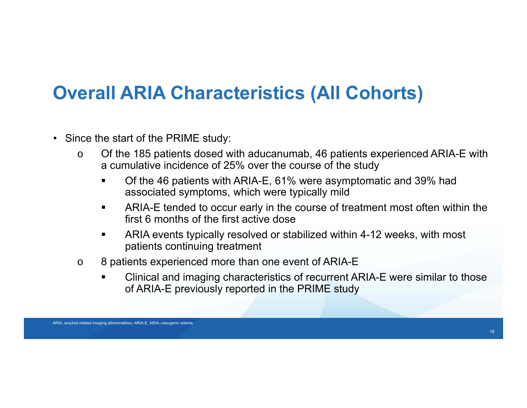## **Overall ARIA Characteristics (All Cohorts)**

- Since the start of the PRIME study:
	- o Of the 185 patients dosed with aducanumab, 46 patients experienced ARIA-E with a cumulative incidence of 25% over the course of the study
		- Of the 46 patients with ARIA-E, 61% were asymptomatic and 39% had associated symptoms, which were typically mild
		- $\blacksquare$  ARIA-E tended to occur early in the course of treatment most often within the first 6 months of the first active dose
		- $\blacksquare$  ARIA events typically resolved or stabilized within 4-12 weeks, with most patients continuing treatment
	- o 8 patients experienced more than one event of ARIA-E
		- ▙ Clinical and imaging characteristics of recurrent ARIA-E were similar to those of ARIA-E previously reported in the PRIME study

ARIA, amyloid-related imaging abnormalities; ARIA-E, ARIA-vasogenic edema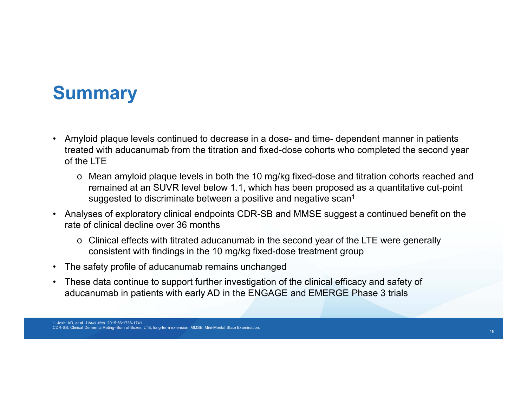### **Summary**

- Amyloid plaque levels continued to decrease in a dose- and time- dependent manner in patients treated with aducanumab from the titration and fixed-dose cohorts who completed the second year of the LTE
	- o Mean amyloid plaque levels in both the 10 mg/kg fixed-dose and titration cohorts reached and remained at an SUVR level below 1.1, which has been proposed as a quantitative cut-point suggested to discriminate between a positive and negative scan<sup>1</sup>
- Analyses of exploratory clinical endpoints CDR-SB and MMSE suggest a continued benefit on the rate of clinical decline over 36 months
	- $\circ~$  Clinical effects with titrated aducanumab in the second year of the LTE were generally consistent with findings in the 10 mg/kg fixed-dose treatment group
- The safety profile of aducanumab remains unchanged
- These data continue to support further investigation of the clinical efficacy and safety of aducanumab in patients with early AD in the ENGAGE and EMERGE Phase 3 trials

<sup>1.</sup> Joshi AD, et al. *J Nucl Med*. 2015;56:1736-1741. CDR-SB, Clinical Dementia Rating–Sum of Boxes; LTE, long-term extension; MMSE, Mini-Mental State Examination.